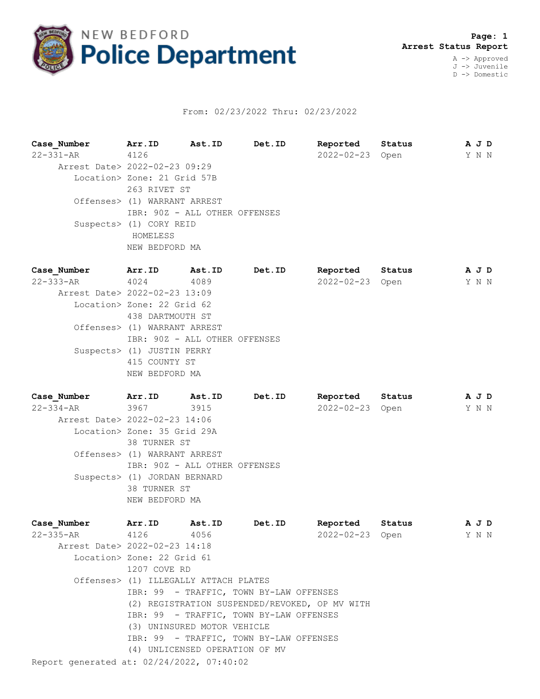

## From: 02/23/2022 Thru: 02/23/2022

**Case\_Number Arr.ID Ast.ID Det.ID Reported Status A J D** 22-331-AR 4126 2022-02-23 Open Y N N Arrest Date> 2022-02-23 09:29 Location> Zone: 21 Grid 57B 263 RIVET ST Offenses> (1) WARRANT ARREST IBR: 90Z - ALL OTHER OFFENSES Suspects> (1) CORY REID HOMELESS NEW BEDFORD MA **Case\_Number Arr.ID Ast.ID Det.ID Reported Status A J D** 22-333-AR 4024 4089 2022-02-23 Open Y N N Arrest Date> 2022-02-23 13:09 Location> Zone: 22 Grid 62 438 DARTMOUTH ST Offenses> (1) WARRANT ARREST IBR: 90Z - ALL OTHER OFFENSES Suspects> (1) JUSTIN PERRY 415 COUNTY ST NEW BEDFORD MA

**Case\_Number Arr.ID Ast.ID Det.ID Reported Status A J D** 22-334-AR 3967 3915 2022-02-23 Open Y N N Arrest Date> 2022-02-23 14:06 Location> Zone: 35 Grid 29A 38 TURNER ST Offenses> (1) WARRANT ARREST IBR: 90Z - ALL OTHER OFFENSES Suspects> (1) JORDAN BERNARD 38 TURNER ST NEW BEDFORD MA

| Case Number                               |                            | Arr.ID Ast.ID Det.ID                    | Reported Status                                |       | A J D |  |
|-------------------------------------------|----------------------------|-----------------------------------------|------------------------------------------------|-------|-------|--|
| 22-335-AR 4126 4056                       |                            |                                         | 2022-02-23 Open                                | Y N N |       |  |
| Arrest Date> 2022-02-23 14:18             |                            |                                         |                                                |       |       |  |
|                                           | Location> Zone: 22 Grid 61 |                                         |                                                |       |       |  |
|                                           | 1207 COVE RD               |                                         |                                                |       |       |  |
|                                           |                            | Offenses> (1) ILLEGALLY ATTACH PLATES   |                                                |       |       |  |
|                                           |                            | IBR: 99 - TRAFFIC, TOWN BY-LAW OFFENSES |                                                |       |       |  |
|                                           |                            |                                         | (2) REGISTRATION SUSPENDED/REVOKED, OP MV WITH |       |       |  |
|                                           |                            | IBR: 99 - TRAFFIC, TOWN BY-LAW OFFENSES |                                                |       |       |  |
|                                           |                            | (3) UNINSURED MOTOR VEHICLE             |                                                |       |       |  |
|                                           |                            | IBR: 99 - TRAFFIC, TOWN BY-LAW OFFENSES |                                                |       |       |  |
|                                           |                            | (4) UNLICENSED OPERATION OF MV          |                                                |       |       |  |
| Report generated at: 02/24/2022, 07:40:02 |                            |                                         |                                                |       |       |  |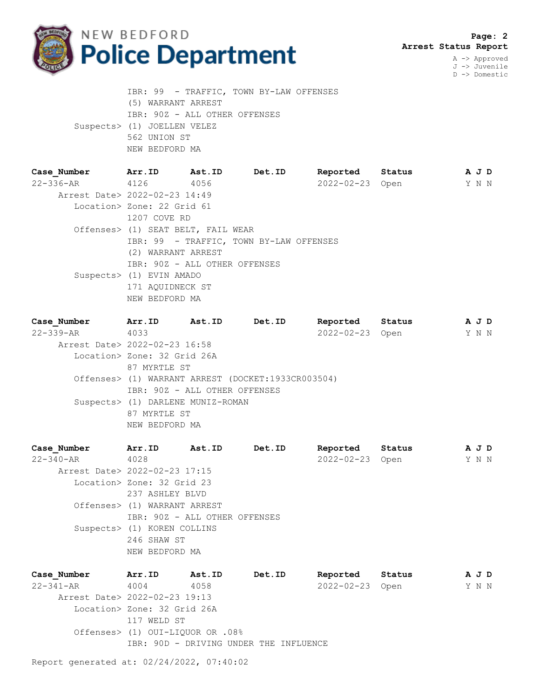

A -> Approved J -> Juvenile D -> Domestic

 IBR: 99 - TRAFFIC, TOWN BY-LAW OFFENSES (5) WARRANT ARREST IBR: 90Z - ALL OTHER OFFENSES Suspects> (1) JOELLEN VELEZ 562 UNION ST NEW BEDFORD MA

| Case Number                   | Arr.ID                             | <b>Ast.ID</b> | <b>Det.ID</b>                           | Reported        | Status | A J D |  |
|-------------------------------|------------------------------------|---------------|-----------------------------------------|-----------------|--------|-------|--|
| $22 - 336 - AR$ 4126          |                                    | 4056          |                                         | 2022-02-23 Open |        | Y N N |  |
| Arrest Date> 2022-02-23 14:49 |                                    |               |                                         |                 |        |       |  |
|                               | Location> Zone: 22 Grid 61         |               |                                         |                 |        |       |  |
|                               | 1207 COVE RD                       |               |                                         |                 |        |       |  |
|                               | Offenses> (1) SEAT BELT, FAIL WEAR |               |                                         |                 |        |       |  |
|                               |                                    |               | IBR: 99 - TRAFFIC, TOWN BY-LAW OFFENSES |                 |        |       |  |
|                               | (2) WARRANT ARREST                 |               |                                         |                 |        |       |  |
|                               | IBR: 90Z - ALL OTHER OFFENSES      |               |                                         |                 |        |       |  |
|                               | Suspects> (1) EVIN AMADO           |               |                                         |                 |        |       |  |
|                               | 171 AOUIDNECK ST                   |               |                                         |                 |        |       |  |
|                               | NEW BEDFORD MA                     |               |                                         |                 |        |       |  |

| Case Number                   | Arr.ID                                             | Ast.ID                            | Det.ID | Reported        | Status |  | A J D |  |  |
|-------------------------------|----------------------------------------------------|-----------------------------------|--------|-----------------|--------|--|-------|--|--|
| $22 - 339 - AR$               | 4033                                               |                                   |        | 2022-02-23 Open |        |  | Y N N |  |  |
| Arrest Date> 2022-02-23 16:58 |                                                    |                                   |        |                 |        |  |       |  |  |
| Location> Zone: 32 Grid 26A   |                                                    |                                   |        |                 |        |  |       |  |  |
|                               | 87 MYRTLE ST                                       |                                   |        |                 |        |  |       |  |  |
|                               | Offenses> (1) WARRANT ARREST (DOCKET:1933CR003504) |                                   |        |                 |        |  |       |  |  |
|                               |                                                    | IBR: 90Z - ALL OTHER OFFENSES     |        |                 |        |  |       |  |  |
|                               |                                                    | Suspects> (1) DARLENE MUNIZ-ROMAN |        |                 |        |  |       |  |  |
|                               | 87 MYRTLE ST                                       |                                   |        |                 |        |  |       |  |  |
|                               | NEW BEDFORD MA                                     |                                   |        |                 |        |  |       |  |  |

**Case\_Number Arr.ID Ast.ID Det.ID Reported Status A J D** Case\_Number Arr.ID Ast.ID Det.ID Reported Status AJD<br>22-340-AR 4028 2022-02-23 Open Y N N Arrest Date> 2022-02-23 17:15 Location> Zone: 32 Grid 23 237 ASHLEY BLVD Offenses> (1) WARRANT ARREST IBR: 90Z - ALL OTHER OFFENSES Suspects> (1) KOREN COLLINS 246 SHAW ST NEW BEDFORD MA

**Case\_Number Arr.ID Ast.ID Det.ID Reported Status A J D** 22-341-AR 4004 4058 2022-02-23 Open Y N N Arrest Date> 2022-02-23 19:13 Location> Zone: 32 Grid 26A 117 WELD ST Offenses> (1) OUI-LIQUOR OR .08% IBR: 90D - DRIVING UNDER THE INFLUENCE

Report generated at: 02/24/2022, 07:40:02